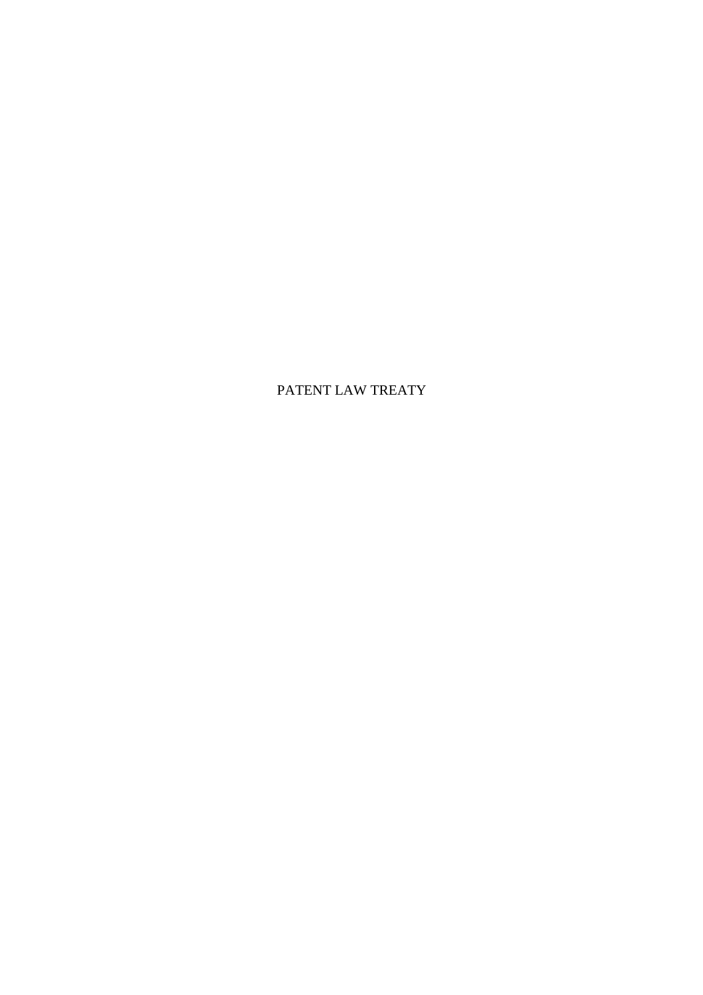PATENT LAW TREATY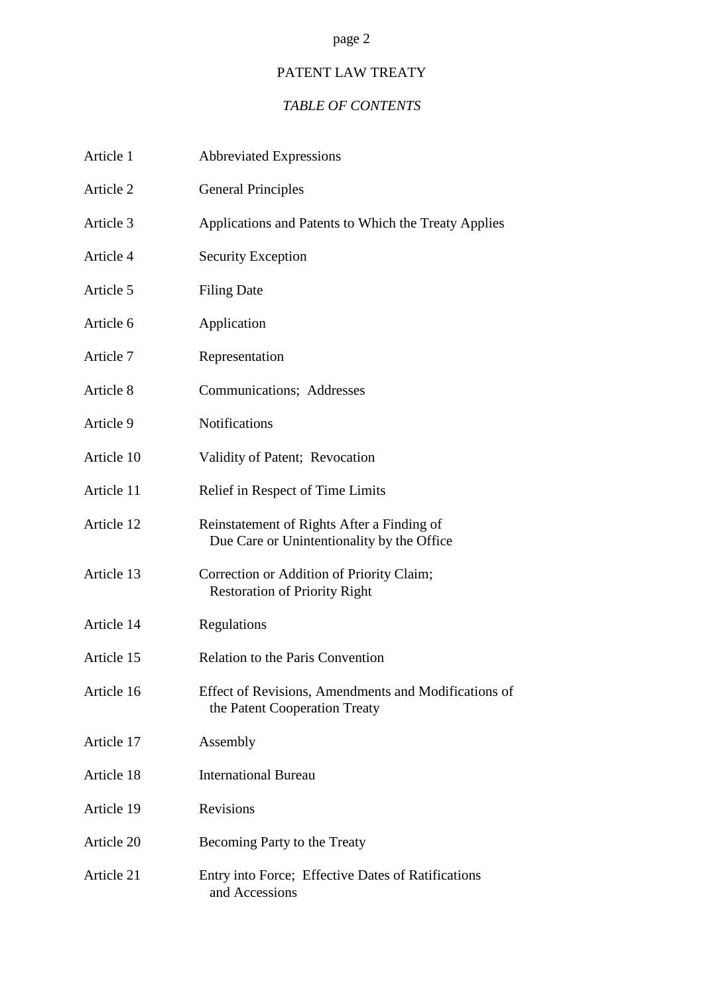# PATENT LAW TREATY

# *TABLE OF CONTENTS*

| Article 1  | <b>Abbreviated Expressions</b>                                                           |
|------------|------------------------------------------------------------------------------------------|
| Article 2  | <b>General Principles</b>                                                                |
| Article 3  | Applications and Patents to Which the Treaty Applies                                     |
| Article 4  | <b>Security Exception</b>                                                                |
| Article 5  | <b>Filing Date</b>                                                                       |
| Article 6  | Application                                                                              |
| Article 7  | Representation                                                                           |
| Article 8  | Communications; Addresses                                                                |
| Article 9  | <b>Notifications</b>                                                                     |
| Article 10 | Validity of Patent; Revocation                                                           |
| Article 11 | Relief in Respect of Time Limits                                                         |
| Article 12 | Reinstatement of Rights After a Finding of<br>Due Care or Unintentionality by the Office |
| Article 13 | Correction or Addition of Priority Claim;<br><b>Restoration of Priority Right</b>        |
| Article 14 | Regulations                                                                              |
| Article 15 | <b>Relation to the Paris Convention</b>                                                  |
| Article 16 | Effect of Revisions, Amendments and Modifications of<br>the Patent Cooperation Treaty    |
| Article 17 | Assembly                                                                                 |
| Article 18 | <b>International Bureau</b>                                                              |
| Article 19 | Revisions                                                                                |
| Article 20 | Becoming Party to the Treaty                                                             |
| Article 21 | Entry into Force; Effective Dates of Ratifications<br>and Accessions                     |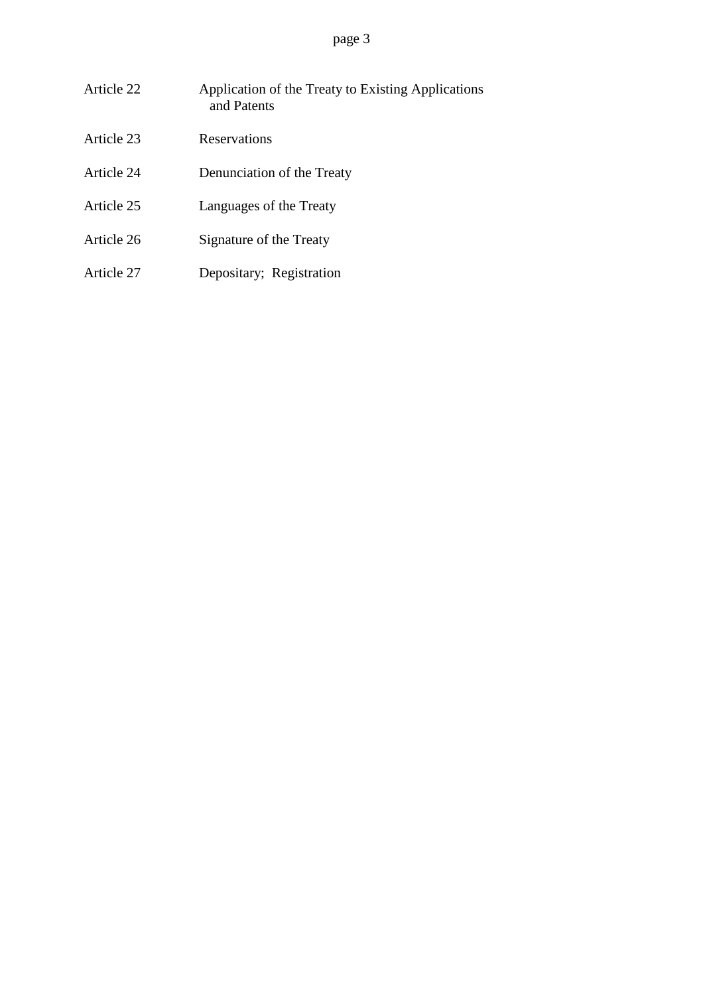| Article 22 | Application of the Treaty to Existing Applications<br>and Patents |
|------------|-------------------------------------------------------------------|
| Article 23 | Reservations                                                      |
| Article 24 | Denunciation of the Treaty                                        |
| Article 25 | Languages of the Treaty                                           |
| Article 26 | Signature of the Treaty                                           |
| Article 27 | Depositary; Registration                                          |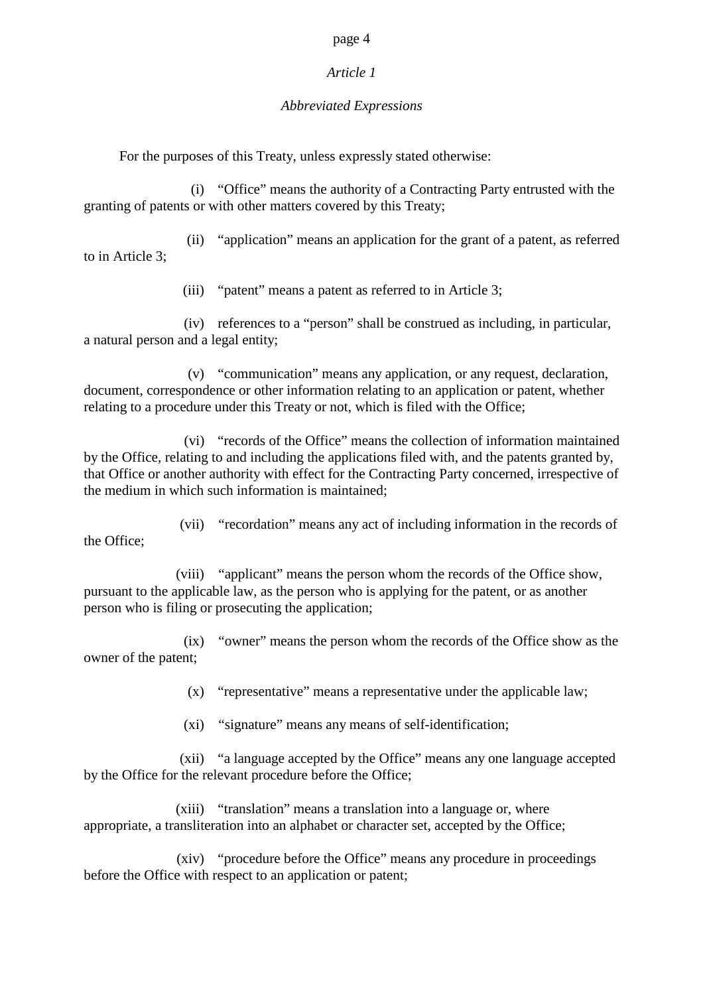#### *Article 1*

### *Abbreviated Expressions*

For the purposes of this Treaty, unless expressly stated otherwise:

(i) "Office" means the authority of a Contracting Party entrusted with the granting of patents or with other matters covered by this Treaty;

(ii) "application" means an application for the grant of a patent, as referred to in Article 3;

(iii) "patent" means a patent as referred to in Article 3;

(iv) references to a "person" shall be construed as including, in particular, a natural person and a legal entity;

(v) "communication" means any application, or any request, declaration, document, correspondence or other information relating to an application or patent, whether relating to a procedure under this Treaty or not, which is filed with the Office;

(vi) "records of the Office" means the collection of information maintained by the Office, relating to and including the applications filed with, and the patents granted by, that Office or another authority with effect for the Contracting Party concerned, irrespective of the medium in which such information is maintained;

(vii) "recordation" means any act of including information in the records of the Office;

(viii) "applicant" means the person whom the records of the Office show, pursuant to the applicable law, as the person who is applying for the patent, or as another person who is filing or prosecuting the application;

(ix) "owner" means the person whom the records of the Office show as the owner of the patent;

(x) "representative" means a representative under the applicable law;

(xi) "signature" means any means of self-identification;

(xii) "a language accepted by the Office" means any one language accepted by the Office for the relevant procedure before the Office;

(xiii) "translation" means a translation into a language or, where appropriate, a transliteration into an alphabet or character set, accepted by the Office;

(xiv) "procedure before the Office" means any procedure in proceedings before the Office with respect to an application or patent;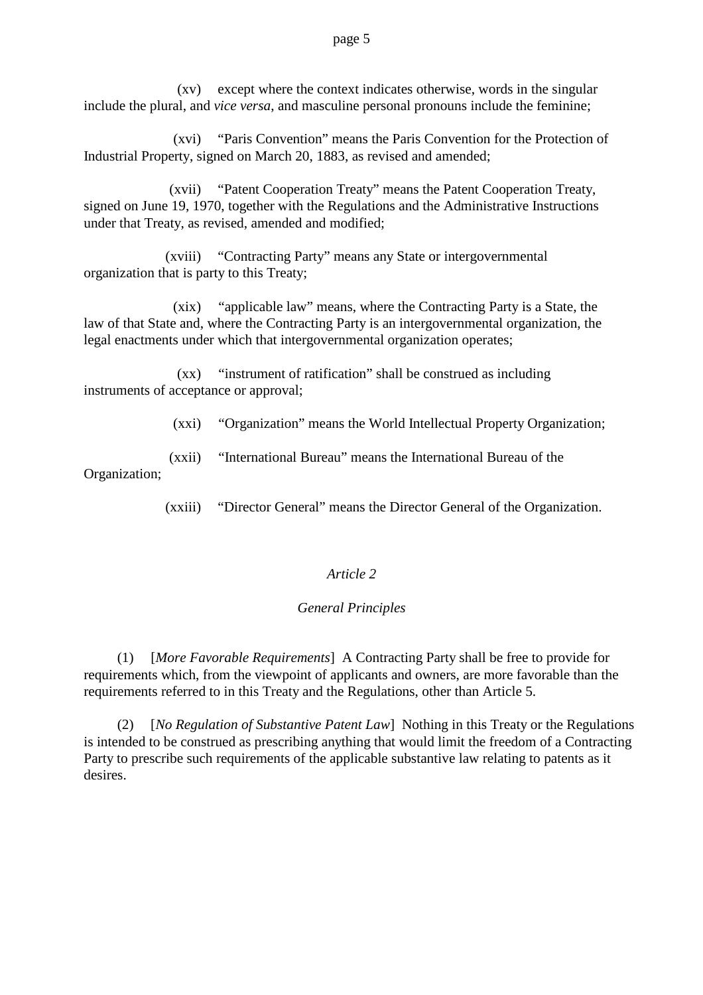(xv) except where the context indicates otherwise, words in the singular include the plural, and *vice versa*, and masculine personal pronouns include the feminine;

(xvi) "Paris Convention" means the Paris Convention for the Protection of Industrial Property, signed on March 20, 1883, as revised and amended;

(xvii) "Patent Cooperation Treaty" means the Patent Cooperation Treaty, signed on June 19, 1970, together with the Regulations and the Administrative Instructions under that Treaty, as revised, amended and modified;

(xviii) "Contracting Party" means any State or intergovernmental organization that is party to this Treaty;

(xix) "applicable law" means, where the Contracting Party is a State, the law of that State and, where the Contracting Party is an intergovernmental organization, the legal enactments under which that intergovernmental organization operates;

(xx) "instrument of ratification" shall be construed as including instruments of acceptance or approval;

(xxi) "Organization" means the World Intellectual Property Organization;

(xxii) "International Bureau" means the International Bureau of the

Organization;

(xxiii) "Director General" means the Director General of the Organization.

### *Article 2*

### *General Principles*

(1) [*More Favorable Requirements*] A Contracting Party shall be free to provide for requirements which, from the viewpoint of applicants and owners, are more favorable than the requirements referred to in this Treaty and the Regulations, other than Article 5.

(2) [*No Regulation of Substantive Patent Law*] Nothing in this Treaty or the Regulations is intended to be construed as prescribing anything that would limit the freedom of a Contracting Party to prescribe such requirements of the applicable substantive law relating to patents as it desires.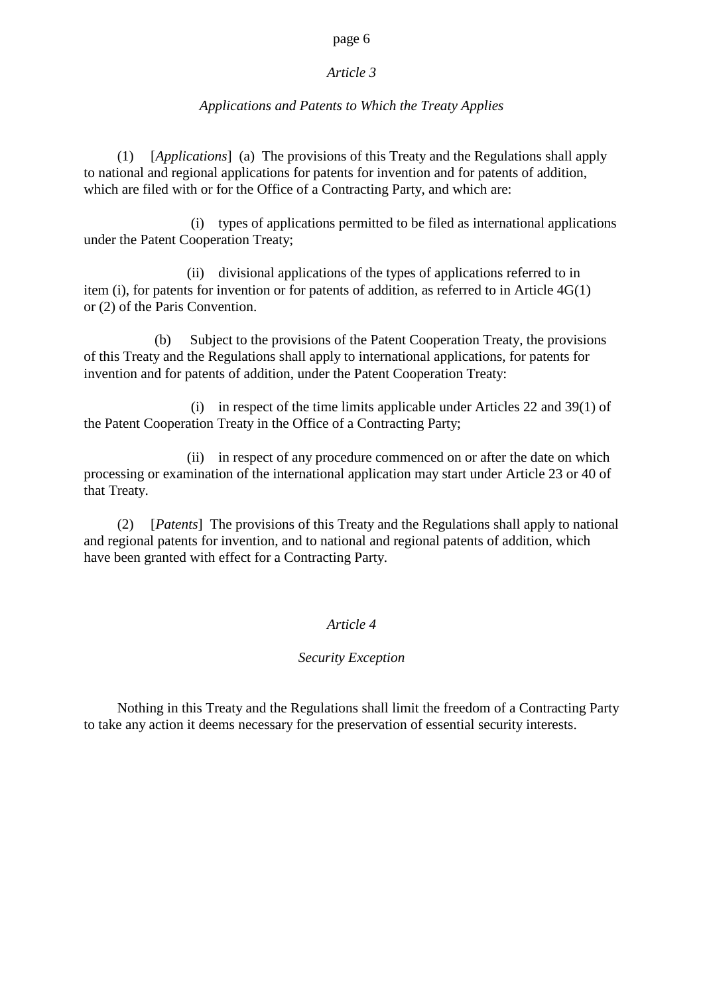### *Article 3*

### *Applications and Patents to Which the Treaty Applies*

(1) [*Applications*] (a) The provisions of this Treaty and the Regulations shall apply to national and regional applications for patents for invention and for patents of addition, which are filed with or for the Office of a Contracting Party, and which are:

(i) types of applications permitted to be filed as international applications under the Patent Cooperation Treaty;

(ii) divisional applications of the types of applications referred to in item (i), for patents for invention or for patents of addition, as referred to in Article 4G(1) or (2) of the Paris Convention.

(b) Subject to the provisions of the Patent Cooperation Treaty, the provisions of this Treaty and the Regulations shall apply to international applications, for patents for invention and for patents of addition, under the Patent Cooperation Treaty:

(i) in respect of the time limits applicable under Articles 22 and 39(1) of the Patent Cooperation Treaty in the Office of a Contracting Party;

(ii) in respect of any procedure commenced on or after the date on which processing or examination of the international application may start under Article 23 or 40 of that Treaty.

(2) [*Patents*] The provisions of this Treaty and the Regulations shall apply to national and regional patents for invention, and to national and regional patents of addition, which have been granted with effect for a Contracting Party.

# *Article 4*

### *Security Exception*

Nothing in this Treaty and the Regulations shall limit the freedom of a Contracting Party to take any action it deems necessary for the preservation of essential security interests.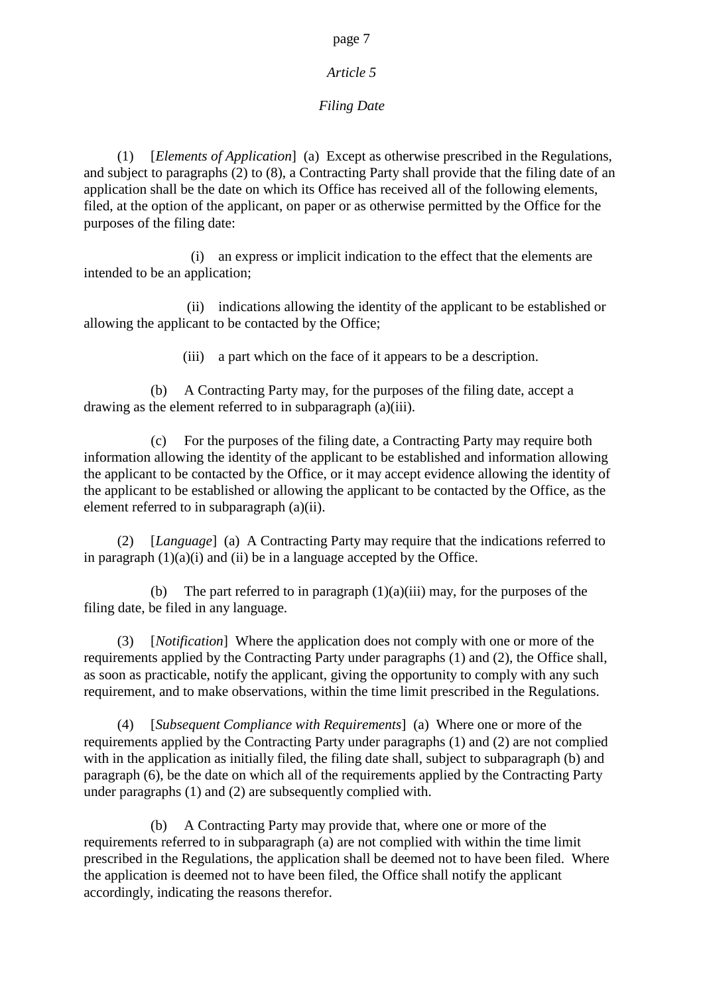### *Article 5*

### *Filing Date*

(1) [*Elements of Application*] (a) Except as otherwise prescribed in the Regulations, and subject to paragraphs (2) to (8), a Contracting Party shall provide that the filing date of an application shall be the date on which its Office has received all of the following elements, filed, at the option of the applicant, on paper or as otherwise permitted by the Office for the purposes of the filing date:

(i) an express or implicit indication to the effect that the elements are intended to be an application;

(ii) indications allowing the identity of the applicant to be established or allowing the applicant to be contacted by the Office;

(iii) a part which on the face of it appears to be a description.

(b) A Contracting Party may, for the purposes of the filing date, accept a drawing as the element referred to in subparagraph (a)(iii).

(c) For the purposes of the filing date, a Contracting Party may require both information allowing the identity of the applicant to be established and information allowing the applicant to be contacted by the Office, or it may accept evidence allowing the identity of the applicant to be established or allowing the applicant to be contacted by the Office, as the element referred to in subparagraph (a)(ii).

(2) [*Language*] (a) A Contracting Party may require that the indications referred to in paragraph  $(1)(a)(i)$  and  $(ii)$  be in a language accepted by the Office.

(b) The part referred to in paragraph  $(1)(a)(iii)$  may, for the purposes of the filing date, be filed in any language.

(3) [*Notification*] Where the application does not comply with one or more of the requirements applied by the Contracting Party under paragraphs (1) and (2), the Office shall, as soon as practicable, notify the applicant, giving the opportunity to comply with any such requirement, and to make observations, within the time limit prescribed in the Regulations.

(4) [*Subsequent Compliance with Requirements*] (a) Where one or more of the requirements applied by the Contracting Party under paragraphs (1) and (2) are not complied with in the application as initially filed, the filing date shall, subject to subparagraph (b) and paragraph (6), be the date on which all of the requirements applied by the Contracting Party under paragraphs (1) and (2) are subsequently complied with.

(b) A Contracting Party may provide that, where one or more of the requirements referred to in subparagraph (a) are not complied with within the time limit prescribed in the Regulations, the application shall be deemed not to have been filed. Where the application is deemed not to have been filed, the Office shall notify the applicant accordingly, indicating the reasons therefor.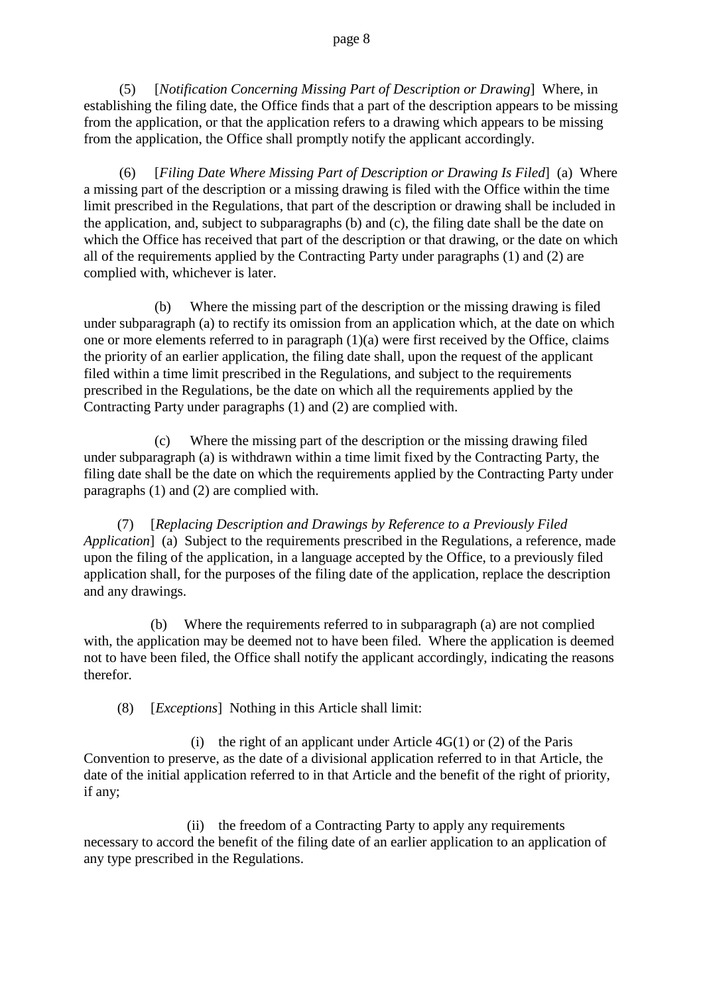(5) [*Notification Concerning Missing Part of Description or Drawing*] Where, in establishing the filing date, the Office finds that a part of the description appears to be missing from the application, or that the application refers to a drawing which appears to be missing from the application, the Office shall promptly notify the applicant accordingly.

(6) [*Filing Date Where Missing Part of Description or Drawing Is Filed*] (a) Where a missing part of the description or a missing drawing is filed with the Office within the time limit prescribed in the Regulations, that part of the description or drawing shall be included in the application, and, subject to subparagraphs (b) and (c), the filing date shall be the date on which the Office has received that part of the description or that drawing, or the date on which all of the requirements applied by the Contracting Party under paragraphs (1) and (2) are complied with, whichever is later.

(b) Where the missing part of the description or the missing drawing is filed under subparagraph (a) to rectify its omission from an application which, at the date on which one or more elements referred to in paragraph  $(1)(a)$  were first received by the Office, claims the priority of an earlier application, the filing date shall, upon the request of the applicant filed within a time limit prescribed in the Regulations, and subject to the requirements prescribed in the Regulations, be the date on which all the requirements applied by the Contracting Party under paragraphs (1) and (2) are complied with.

(c) Where the missing part of the description or the missing drawing filed under subparagraph (a) is withdrawn within a time limit fixed by the Contracting Party, the filing date shall be the date on which the requirements applied by the Contracting Party under paragraphs (1) and (2) are complied with.

(7) [*Replacing Description and Drawings by Reference to a Previously Filed Application* (a) Subject to the requirements prescribed in the Regulations, a reference, made upon the filing of the application, in a language accepted by the Office, to a previously filed application shall, for the purposes of the filing date of the application, replace the description and any drawings.

(b) Where the requirements referred to in subparagraph (a) are not complied with, the application may be deemed not to have been filed. Where the application is deemed not to have been filed, the Office shall notify the applicant accordingly, indicating the reasons therefor.

(8) [*Exceptions*] Nothing in this Article shall limit:

(i) the right of an applicant under Article  $4G(1)$  or (2) of the Paris Convention to preserve, as the date of a divisional application referred to in that Article, the date of the initial application referred to in that Article and the benefit of the right of priority, if any;

(ii) the freedom of a Contracting Party to apply any requirements necessary to accord the benefit of the filing date of an earlier application to an application of any type prescribed in the Regulations.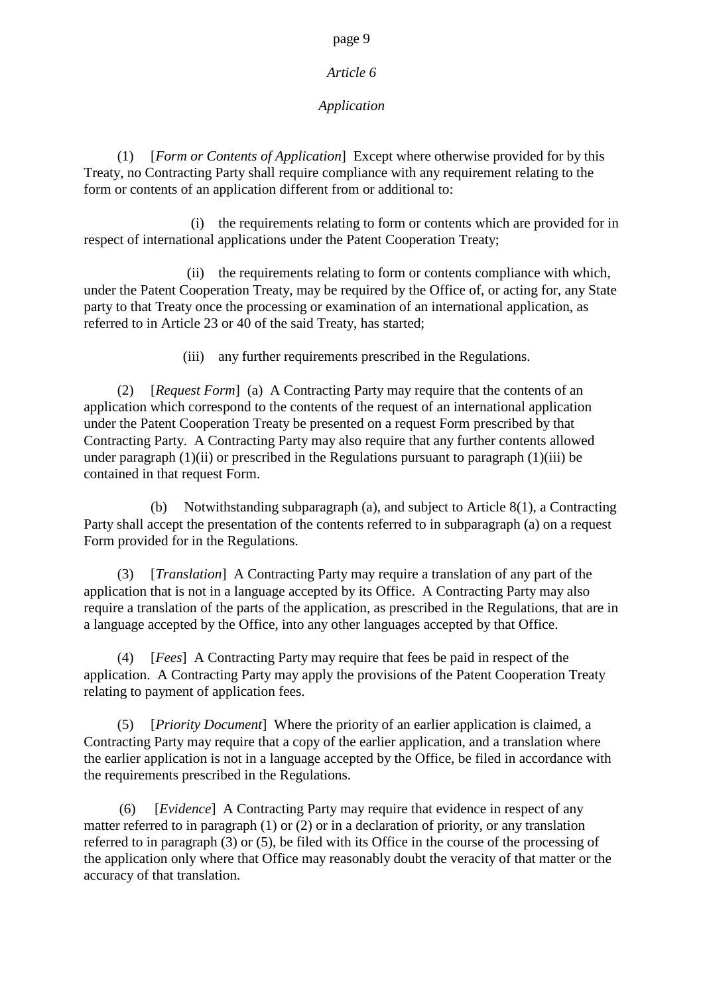### *Article 6*

# *Application*

(1) [*Form or Contents of Application*] Except where otherwise provided for by this Treaty, no Contracting Party shall require compliance with any requirement relating to the form or contents of an application different from or additional to:

(i) the requirements relating to form or contents which are provided for in respect of international applications under the Patent Cooperation Treaty;

(ii) the requirements relating to form or contents compliance with which, under the Patent Cooperation Treaty, may be required by the Office of, or acting for, any State party to that Treaty once the processing or examination of an international application, as referred to in Article 23 or 40 of the said Treaty, has started;

(iii) any further requirements prescribed in the Regulations.

(2) [*Request Form*] (a) A Contracting Party may require that the contents of an application which correspond to the contents of the request of an international application under the Patent Cooperation Treaty be presented on a request Form prescribed by that Contracting Party. A Contracting Party may also require that any further contents allowed under paragraph  $(1)(ii)$  or prescribed in the Regulations pursuant to paragraph  $(1)(iii)$  be contained in that request Form.

(b) Notwithstanding subparagraph (a), and subject to Article 8(1), a Contracting Party shall accept the presentation of the contents referred to in subparagraph (a) on a request Form provided for in the Regulations.

(3) [*Translation*] A Contracting Party may require a translation of any part of the application that is not in a language accepted by its Office. A Contracting Party may also require a translation of the parts of the application, as prescribed in the Regulations, that are in a language accepted by the Office, into any other languages accepted by that Office.

(4) [*Fees*] A Contracting Party may require that fees be paid in respect of the application. A Contracting Party may apply the provisions of the Patent Cooperation Treaty relating to payment of application fees.

(5) [*Priority Document*] Where the priority of an earlier application is claimed, a Contracting Party may require that a copy of the earlier application, and a translation where the earlier application is not in a language accepted by the Office, be filed in accordance with the requirements prescribed in the Regulations.

(6) [*Evidence*] A Contracting Party may require that evidence in respect of any matter referred to in paragraph (1) or (2) or in a declaration of priority, or any translation referred to in paragraph (3) or (5), be filed with its Office in the course of the processing of the application only where that Office may reasonably doubt the veracity of that matter or the accuracy of that translation.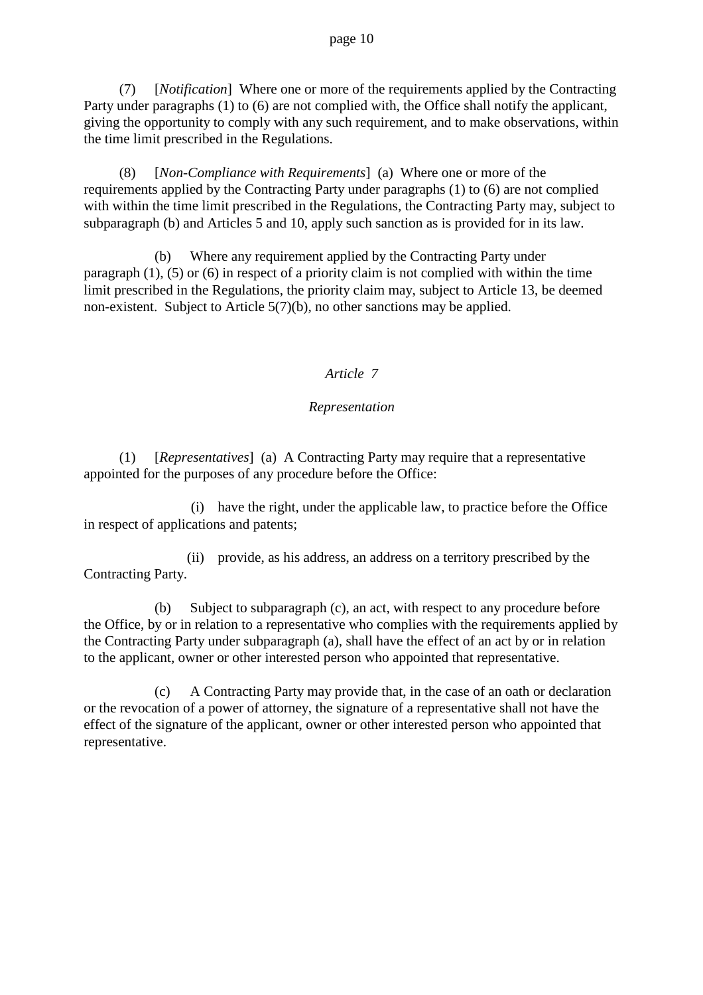(7) [*Notification*] Where one or more of the requirements applied by the Contracting Party under paragraphs (1) to (6) are not complied with, the Office shall notify the applicant, giving the opportunity to comply with any such requirement, and to make observations, within the time limit prescribed in the Regulations.

(8) [*Non-Compliance with Requirements*] (a) Where one or more of the requirements applied by the Contracting Party under paragraphs (1) to (6) are not complied with within the time limit prescribed in the Regulations, the Contracting Party may, subject to subparagraph (b) and Articles 5 and 10, apply such sanction as is provided for in its law.

(b) Where any requirement applied by the Contracting Party under paragraph (1), (5) or (6) in respect of a priority claim is not complied with within the time limit prescribed in the Regulations, the priority claim may, subject to Article 13, be deemed non-existent. Subject to Article 5(7)(b), no other sanctions may be applied.

### *Article 7*

### *Representation*

(1) [*Representatives*] (a) A Contracting Party may require that a representative appointed for the purposes of any procedure before the Office:

(i) have the right, under the applicable law, to practice before the Office in respect of applications and patents;

(ii) provide, as his address, an address on a territory prescribed by the Contracting Party.

(b) Subject to subparagraph (c), an act, with respect to any procedure before the Office, by or in relation to a representative who complies with the requirements applied by the Contracting Party under subparagraph (a), shall have the effect of an act by or in relation to the applicant, owner or other interested person who appointed that representative.

(c) A Contracting Party may provide that, in the case of an oath or declaration or the revocation of a power of attorney, the signature of a representative shall not have the effect of the signature of the applicant, owner or other interested person who appointed that representative.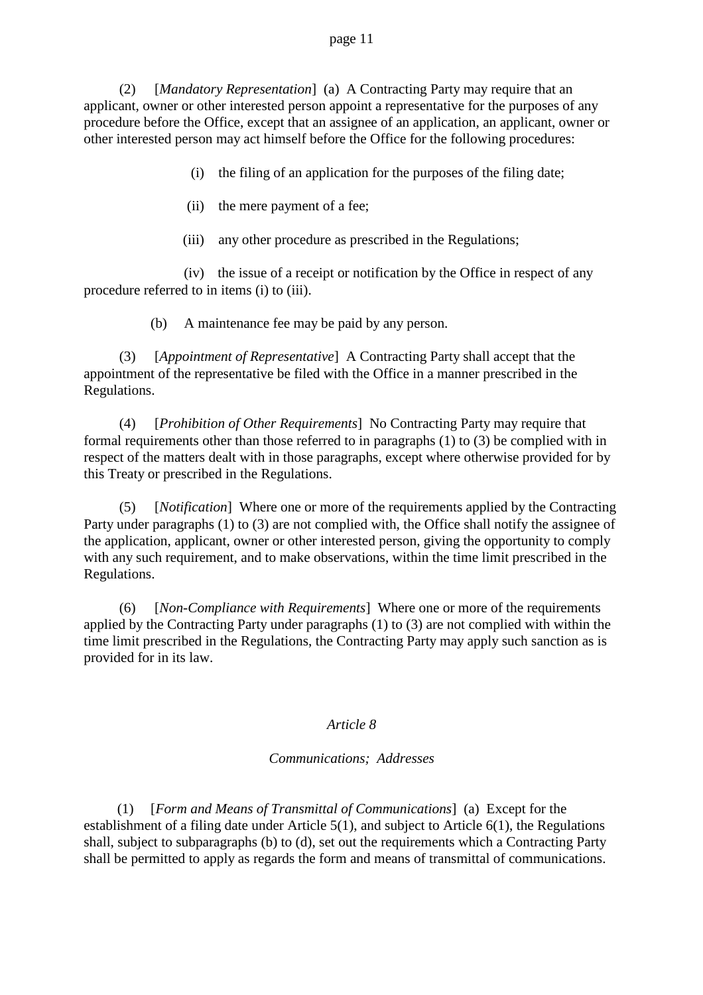(2) [*Mandatory Representation*] (a) A Contracting Party may require that an applicant, owner or other interested person appoint a representative for the purposes of any procedure before the Office, except that an assignee of an application, an applicant, owner or other interested person may act himself before the Office for the following procedures:

- (i) the filing of an application for the purposes of the filing date;
- (ii) the mere payment of a fee;
- (iii) any other procedure as prescribed in the Regulations;

(iv) the issue of a receipt or notification by the Office in respect of any procedure referred to in items (i) to (iii).

(b) A maintenance fee may be paid by any person.

(3) [*Appointment of Representative*] A Contracting Party shall accept that the appointment of the representative be filed with the Office in a manner prescribed in the Regulations.

(4) [*Prohibition of Other Requirements*] No Contracting Party may require that formal requirements other than those referred to in paragraphs (1) to (3) be complied with in respect of the matters dealt with in those paragraphs, except where otherwise provided for by this Treaty or prescribed in the Regulations.

(5) [*Notification*] Where one or more of the requirements applied by the Contracting Party under paragraphs (1) to (3) are not complied with, the Office shall notify the assignee of the application, applicant, owner or other interested person, giving the opportunity to comply with any such requirement, and to make observations, within the time limit prescribed in the Regulations.

(6) [*Non-Compliance with Requirements*] Where one or more of the requirements applied by the Contracting Party under paragraphs (1) to (3) are not complied with within the time limit prescribed in the Regulations, the Contracting Party may apply such sanction as is provided for in its law.

#### *Article 8*

#### *Communications; Addresses*

(1) [*Form and Means of Transmittal of Communications*] (a) Except for the establishment of a filing date under Article 5(1), and subject to Article 6(1), the Regulations shall, subject to subparagraphs (b) to (d), set out the requirements which a Contracting Party shall be permitted to apply as regards the form and means of transmittal of communications.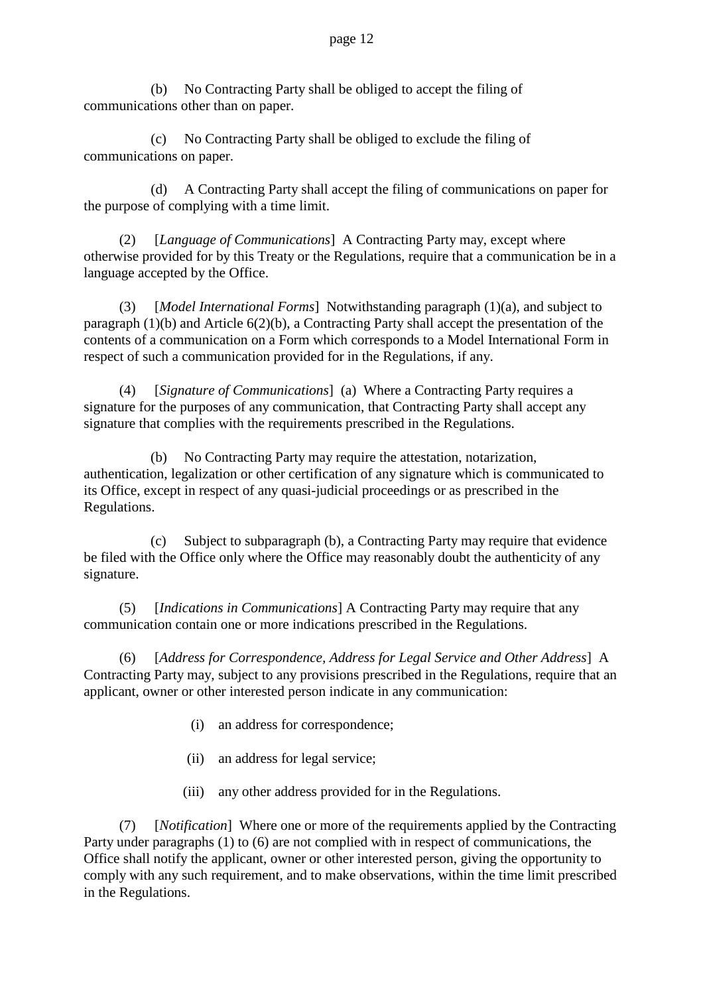(b) No Contracting Party shall be obliged to accept the filing of communications other than on paper.

(c) No Contracting Party shall be obliged to exclude the filing of communications on paper.

(d) A Contracting Party shall accept the filing of communications on paper for the purpose of complying with a time limit.

(2) [*Language of Communications*] A Contracting Party may, except where otherwise provided for by this Treaty or the Regulations, require that a communication be in a language accepted by the Office.

(3) [*Model International Forms*] Notwithstanding paragraph (1)(a), and subject to paragraph (1)(b) and Article 6(2)(b), a Contracting Party shall accept the presentation of the contents of a communication on a Form which corresponds to a Model International Form in respect of such a communication provided for in the Regulations, if any.

(4) [*Signature of Communications*] (a) Where a Contracting Party requires a signature for the purposes of any communication, that Contracting Party shall accept any signature that complies with the requirements prescribed in the Regulations.

(b) No Contracting Party may require the attestation, notarization, authentication, legalization or other certification of any signature which is communicated to its Office, except in respect of any quasi-judicial proceedings or as prescribed in the Regulations.

(c) Subject to subparagraph (b), a Contracting Party may require that evidence be filed with the Office only where the Office may reasonably doubt the authenticity of any signature.

(5) [*Indications in Communications*] A Contracting Party may require that any communication contain one or more indications prescribed in the Regulations.

(6) [*Address for Correspondence, Address for Legal Service and Other Address*] A Contracting Party may, subject to any provisions prescribed in the Regulations, require that an applicant, owner or other interested person indicate in any communication:

- (i) an address for correspondence;
- (ii) an address for legal service;
- (iii) any other address provided for in the Regulations.

(7) [*Notification*] Where one or more of the requirements applied by the Contracting Party under paragraphs (1) to (6) are not complied with in respect of communications, the Office shall notify the applicant, owner or other interested person, giving the opportunity to comply with any such requirement, and to make observations, within the time limit prescribed in the Regulations.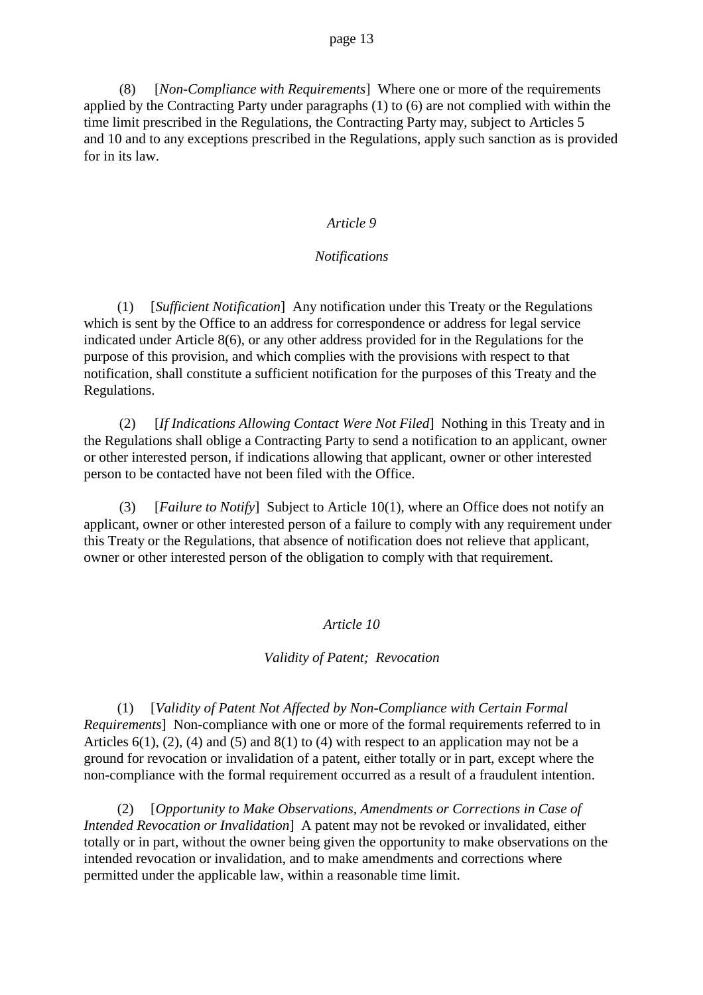(8) [*Non-Compliance with Requirements*] Where one or more of the requirements applied by the Contracting Party under paragraphs (1) to (6) are not complied with within the time limit prescribed in the Regulations, the Contracting Party may, subject to Articles 5 and 10 and to any exceptions prescribed in the Regulations, apply such sanction as is provided for in its law.

#### *Article 9*

#### *Notifications*

(1) [*Sufficient Notification*] Any notification under this Treaty or the Regulations which is sent by the Office to an address for correspondence or address for legal service indicated under Article 8(6), or any other address provided for in the Regulations for the purpose of this provision, and which complies with the provisions with respect to that notification, shall constitute a sufficient notification for the purposes of this Treaty and the Regulations.

(2) [*If Indications Allowing Contact Were Not Filed*] Nothing in this Treaty and in the Regulations shall oblige a Contracting Party to send a notification to an applicant, owner or other interested person, if indications allowing that applicant, owner or other interested person to be contacted have not been filed with the Office.

(3) [*Failure to Notify*] Subject to Article 10(1), where an Office does not notify an applicant, owner or other interested person of a failure to comply with any requirement under this Treaty or the Regulations, that absence of notification does not relieve that applicant, owner or other interested person of the obligation to comply with that requirement.

#### *Article 10*

#### *Validity of Patent; Revocation*

(1) [*Validity of Patent Not Affected by Non-Compliance with Certain Formal Requirements*] Non-compliance with one or more of the formal requirements referred to in Articles  $6(1)$ ,  $(2)$ ,  $(4)$  and  $(5)$  and  $8(1)$  to  $(4)$  with respect to an application may not be a ground for revocation or invalidation of a patent, either totally or in part, except where the non-compliance with the formal requirement occurred as a result of a fraudulent intention.

(2) [*Opportunity to Make Observations, Amendments or Corrections in Case of Intended Revocation or Invalidation*] A patent may not be revoked or invalidated, either totally or in part, without the owner being given the opportunity to make observations on the intended revocation or invalidation, and to make amendments and corrections where permitted under the applicable law, within a reasonable time limit.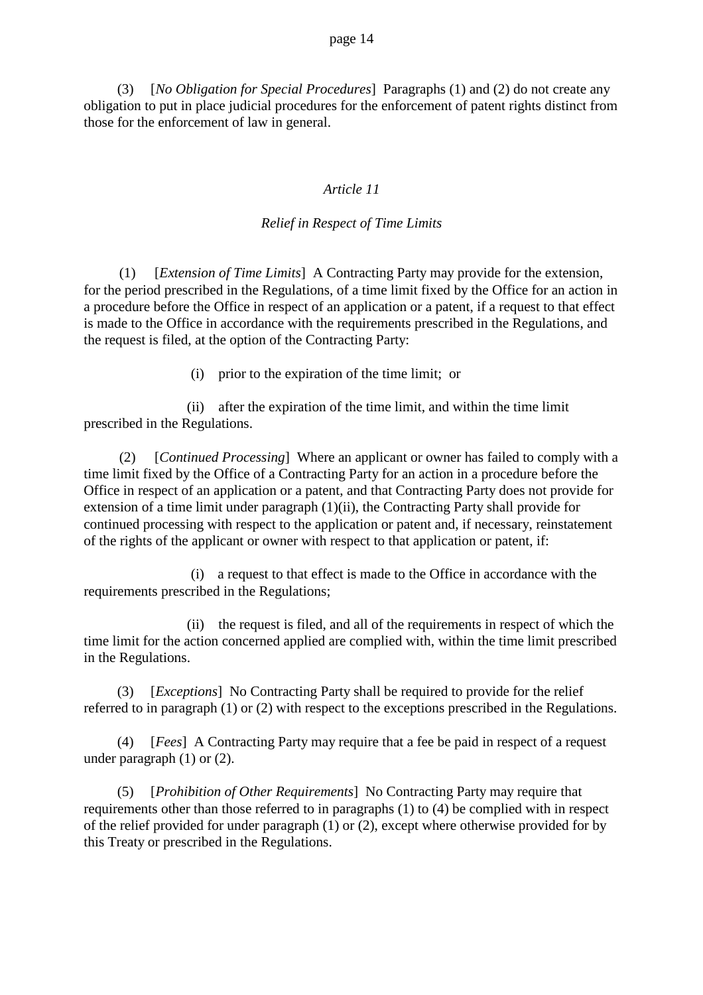(3) [*No Obligation for Special Procedures*] Paragraphs (1) and (2) do not create any obligation to put in place judicial procedures for the enforcement of patent rights distinct from those for the enforcement of law in general.

### *Article 11*

### *Relief in Respect of Time Limits*

(1) [*Extension of Time Limits*] A Contracting Party may provide for the extension, for the period prescribed in the Regulations, of a time limit fixed by the Office for an action in a procedure before the Office in respect of an application or a patent, if a request to that effect is made to the Office in accordance with the requirements prescribed in the Regulations, and the request is filed, at the option of the Contracting Party:

(i) prior to the expiration of the time limit; or

(ii) after the expiration of the time limit, and within the time limit prescribed in the Regulations.

(2) [*Continued Processing*] Where an applicant or owner has failed to comply with a time limit fixed by the Office of a Contracting Party for an action in a procedure before the Office in respect of an application or a patent, and that Contracting Party does not provide for extension of a time limit under paragraph (1)(ii), the Contracting Party shall provide for continued processing with respect to the application or patent and, if necessary, reinstatement of the rights of the applicant or owner with respect to that application or patent, if:

(i) a request to that effect is made to the Office in accordance with the requirements prescribed in the Regulations;

(ii) the request is filed, and all of the requirements in respect of which the time limit for the action concerned applied are complied with, within the time limit prescribed in the Regulations.

(3) [*Exceptions*] No Contracting Party shall be required to provide for the relief referred to in paragraph (1) or (2) with respect to the exceptions prescribed in the Regulations.

(4) [*Fees*] A Contracting Party may require that a fee be paid in respect of a request under paragraph (1) or (2).

(5) [*Prohibition of Other Requirements*] No Contracting Party may require that requirements other than those referred to in paragraphs (1) to (4) be complied with in respect of the relief provided for under paragraph (1) or (2), except where otherwise provided for by this Treaty or prescribed in the Regulations.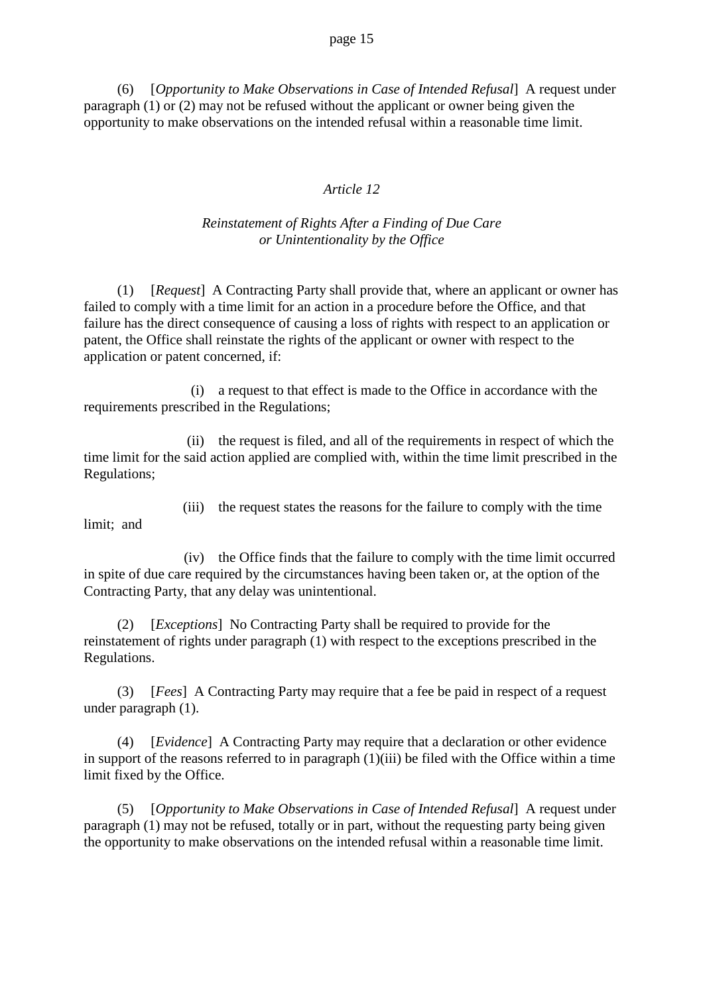(6) [*Opportunity to Make Observations in Case of Intended Refusal*] A request under paragraph (1) or (2) may not be refused without the applicant or owner being given the opportunity to make observations on the intended refusal within a reasonable time limit.

### *Article 12*

### *Reinstatement of Rights After a Finding of Due Care or Unintentionality by the Office*

(1) [*Request*] A Contracting Party shall provide that, where an applicant or owner has failed to comply with a time limit for an action in a procedure before the Office, and that failure has the direct consequence of causing a loss of rights with respect to an application or patent, the Office shall reinstate the rights of the applicant or owner with respect to the application or patent concerned, if:

(i) a request to that effect is made to the Office in accordance with the requirements prescribed in the Regulations;

(ii) the request is filed, and all of the requirements in respect of which the time limit for the said action applied are complied with, within the time limit prescribed in the Regulations;

limit; and

(iii) the request states the reasons for the failure to comply with the time

(iv) the Office finds that the failure to comply with the time limit occurred in spite of due care required by the circumstances having been taken or, at the option of the Contracting Party, that any delay was unintentional.

(2) [*Exceptions*] No Contracting Party shall be required to provide for the reinstatement of rights under paragraph (1) with respect to the exceptions prescribed in the Regulations.

(3) [*Fees*] A Contracting Party may require that a fee be paid in respect of a request under paragraph (1).

(4) [*Evidence*] A Contracting Party may require that a declaration or other evidence in support of the reasons referred to in paragraph (1)(iii) be filed with the Office within a time limit fixed by the Office.

(5) [*Opportunity to Make Observations in Case of Intended Refusal*] A request under paragraph (1) may not be refused, totally or in part, without the requesting party being given the opportunity to make observations on the intended refusal within a reasonable time limit.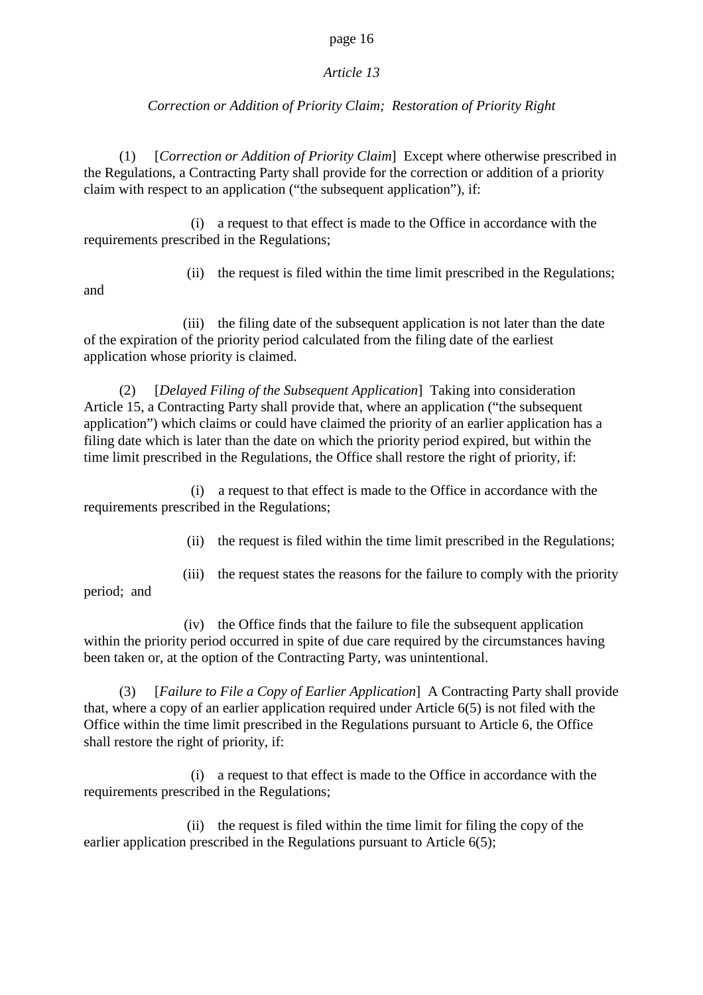### *Article 13*

# *Correction or Addition of Priority Claim; Restoration of Priority Right*

(1) [*Correction or Addition of Priority Claim*] Except where otherwise prescribed in the Regulations, a Contracting Party shall provide for the correction or addition of a priority claim with respect to an application ("the subsequent application"), if:

(i) a request to that effect is made to the Office in accordance with the requirements prescribed in the Regulations;

and

(ii) the request is filed within the time limit prescribed in the Regulations;

(iii) the filing date of the subsequent application is not later than the date of the expiration of the priority period calculated from the filing date of the earliest application whose priority is claimed.

(2) [*Delayed Filing of the Subsequent Application*] Taking into consideration Article 15, a Contracting Party shall provide that, where an application ("the subsequent application") which claims or could have claimed the priority of an earlier application has a filing date which is later than the date on which the priority period expired, but within the time limit prescribed in the Regulations, the Office shall restore the right of priority, if:

(i) a request to that effect is made to the Office in accordance with the requirements prescribed in the Regulations;

(ii) the request is filed within the time limit prescribed in the Regulations;

(iii) the request states the reasons for the failure to comply with the priority

period; and

(iv) the Office finds that the failure to file the subsequent application within the priority period occurred in spite of due care required by the circumstances having been taken or, at the option of the Contracting Party, was unintentional.

(3) [*Failure to File a Copy of Earlier Application*] A Contracting Party shall provide that, where a copy of an earlier application required under Article 6(5) is not filed with the Office within the time limit prescribed in the Regulations pursuant to Article 6, the Office shall restore the right of priority, if:

(i) a request to that effect is made to the Office in accordance with the requirements prescribed in the Regulations;

(ii) the request is filed within the time limit for filing the copy of the earlier application prescribed in the Regulations pursuant to Article 6(5);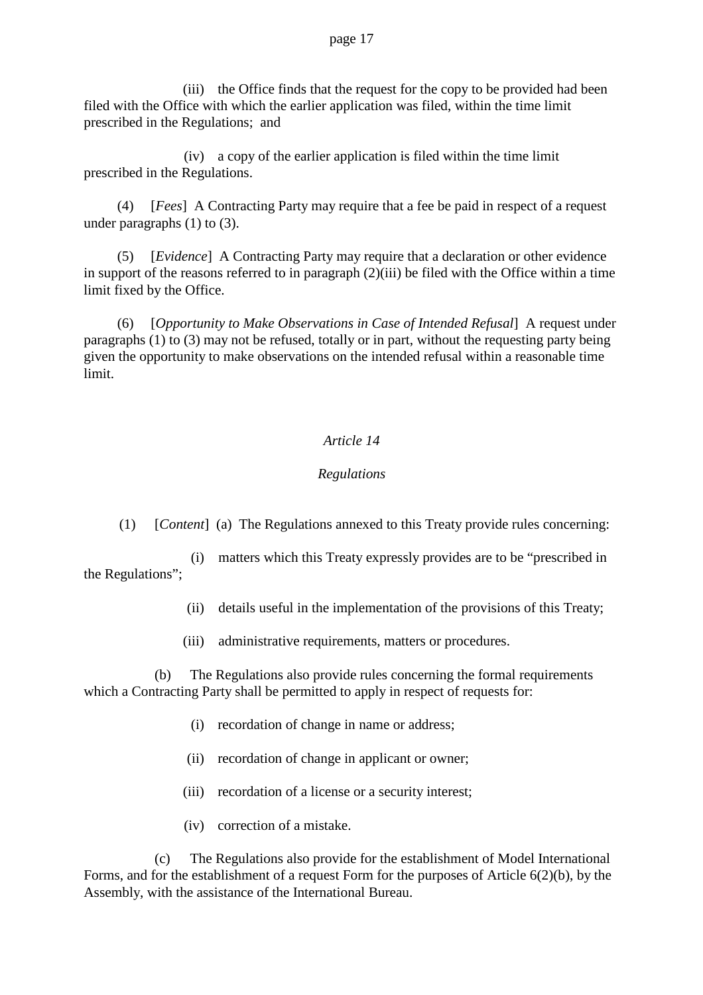(iii) the Office finds that the request for the copy to be provided had been filed with the Office with which the earlier application was filed, within the time limit prescribed in the Regulations; and

(iv) a copy of the earlier application is filed within the time limit prescribed in the Regulations.

(4) [*Fees*] A Contracting Party may require that a fee be paid in respect of a request under paragraphs (1) to (3).

(5) [*Evidence*] A Contracting Party may require that a declaration or other evidence in support of the reasons referred to in paragraph (2)(iii) be filed with the Office within a time limit fixed by the Office.

(6) [*Opportunity to Make Observations in Case of Intended Refusal*] A request under paragraphs (1) to (3) may not be refused, totally or in part, without the requesting party being given the opportunity to make observations on the intended refusal within a reasonable time limit.

### *Article 14*

### *Regulations*

(1) [*Content*] (a) The Regulations annexed to this Treaty provide rules concerning:

(i) matters which this Treaty expressly provides are to be "prescribed in the Regulations";

- (ii) details useful in the implementation of the provisions of this Treaty;
- (iii) administrative requirements, matters or procedures.

(b) The Regulations also provide rules concerning the formal requirements which a Contracting Party shall be permitted to apply in respect of requests for:

- (i) recordation of change in name or address;
- (ii) recordation of change in applicant or owner;
- (iii) recordation of a license or a security interest;
- (iv) correction of a mistake.

(c) The Regulations also provide for the establishment of Model International Forms, and for the establishment of a request Form for the purposes of Article 6(2)(b), by the Assembly, with the assistance of the International Bureau.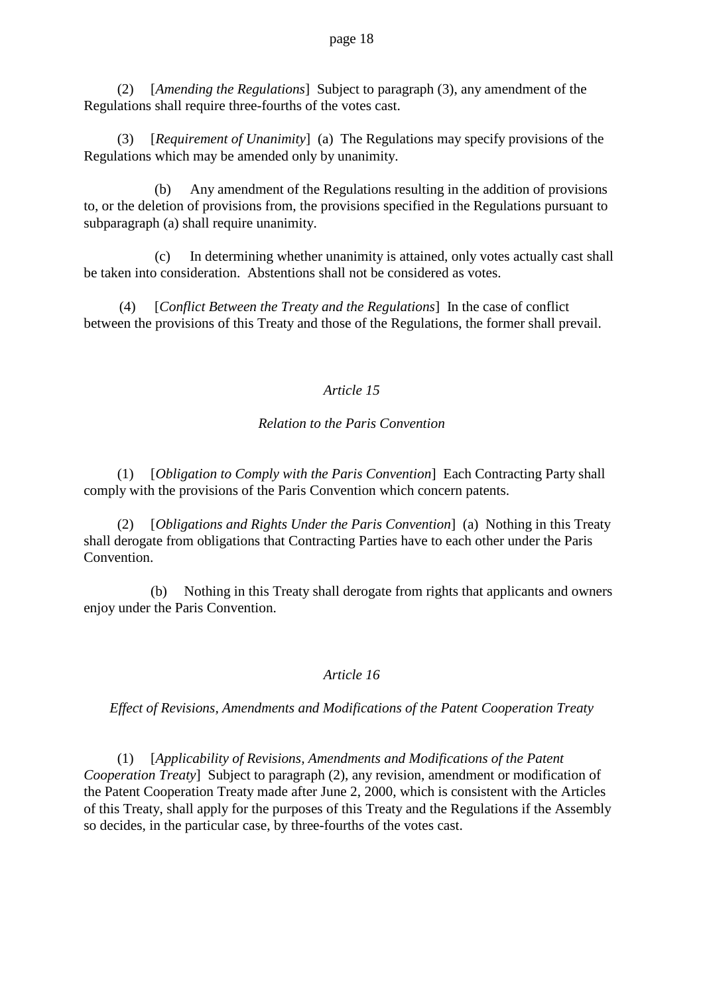(2) [*Amending the Regulations*] Subject to paragraph (3), any amendment of the Regulations shall require three-fourths of the votes cast.

(3) [*Requirement of Unanimity*] (a) The Regulations may specify provisions of the Regulations which may be amended only by unanimity.

(b) Any amendment of the Regulations resulting in the addition of provisions to, or the deletion of provisions from, the provisions specified in the Regulations pursuant to subparagraph (a) shall require unanimity.

(c) In determining whether unanimity is attained, only votes actually cast shall be taken into consideration. Abstentions shall not be considered as votes.

(4) [*Conflict Between the Treaty and the Regulations*] In the case of conflict between the provisions of this Treaty and those of the Regulations, the former shall prevail.

### *Article 15*

#### *Relation to the Paris Convention*

(1) [*Obligation to Comply with the Paris Convention*] Each Contracting Party shall comply with the provisions of the Paris Convention which concern patents.

(2) [*Obligations and Rights Under the Paris Convention*] (a) Nothing in this Treaty shall derogate from obligations that Contracting Parties have to each other under the Paris Convention.

(b) Nothing in this Treaty shall derogate from rights that applicants and owners enjoy under the Paris Convention.

#### *Article 16*

*Effect of Revisions, Amendments and Modifications of the Patent Cooperation Treaty*

(1) [*Applicability of Revisions, Amendments and Modifications of the Patent Cooperation Treaty*] Subject to paragraph (2), any revision, amendment or modification of the Patent Cooperation Treaty made after June 2, 2000, which is consistent with the Articles of this Treaty, shall apply for the purposes of this Treaty and the Regulations if the Assembly so decides, in the particular case, by three-fourths of the votes cast.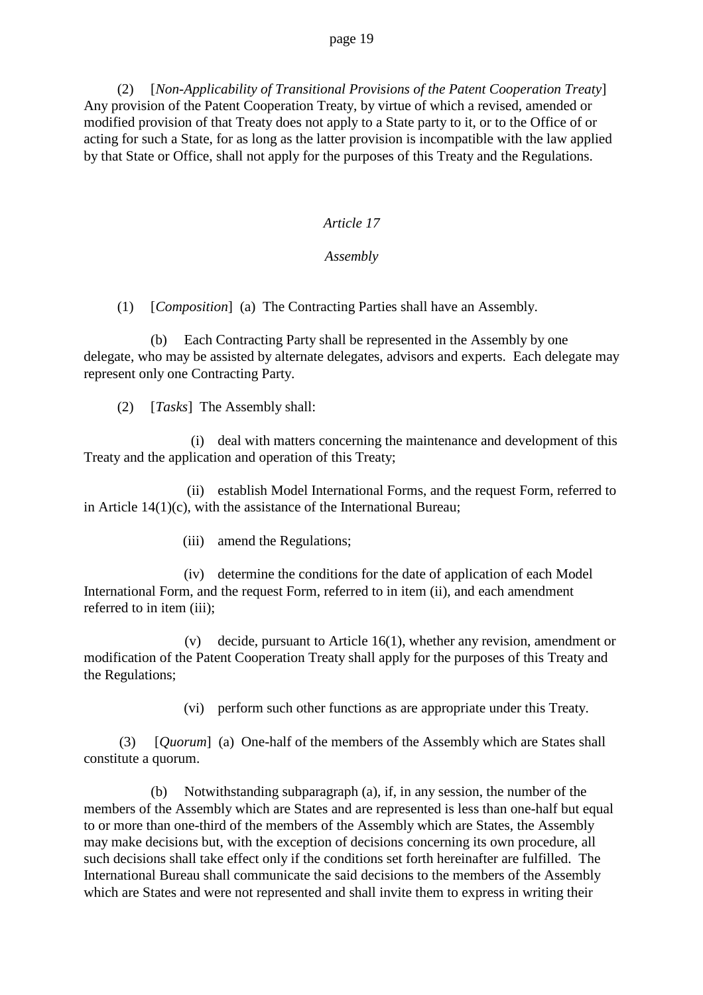(2) [*Non-Applicability of Transitional Provisions of the Patent Cooperation Treaty*] Any provision of the Patent Cooperation Treaty, by virtue of which a revised, amended or modified provision of that Treaty does not apply to a State party to it, or to the Office of or acting for such a State, for as long as the latter provision is incompatible with the law applied by that State or Office, shall not apply for the purposes of this Treaty and the Regulations.

#### *Article 17*

#### *Assembly*

(1) [*Composition*] (a) The Contracting Parties shall have an Assembly.

(b) Each Contracting Party shall be represented in the Assembly by one delegate, who may be assisted by alternate delegates, advisors and experts. Each delegate may represent only one Contracting Party.

(2) [*Tasks*] The Assembly shall:

(i) deal with matters concerning the maintenance and development of this Treaty and the application and operation of this Treaty;

(ii) establish Model International Forms, and the request Form, referred to in Article 14(1)(c), with the assistance of the International Bureau;

(iii) amend the Regulations;

(iv) determine the conditions for the date of application of each Model International Form, and the request Form, referred to in item (ii), and each amendment referred to in item (iii);

(v) decide, pursuant to Article 16(1), whether any revision, amendment or modification of the Patent Cooperation Treaty shall apply for the purposes of this Treaty and the Regulations;

(vi) perform such other functions as are appropriate under this Treaty.

(3) [*Quorum*] (a) One-half of the members of the Assembly which are States shall constitute a quorum.

(b) Notwithstanding subparagraph (a), if, in any session, the number of the members of the Assembly which are States and are represented is less than one-half but equal to or more than one-third of the members of the Assembly which are States, the Assembly may make decisions but, with the exception of decisions concerning its own procedure, all such decisions shall take effect only if the conditions set forth hereinafter are fulfilled. The International Bureau shall communicate the said decisions to the members of the Assembly which are States and were not represented and shall invite them to express in writing their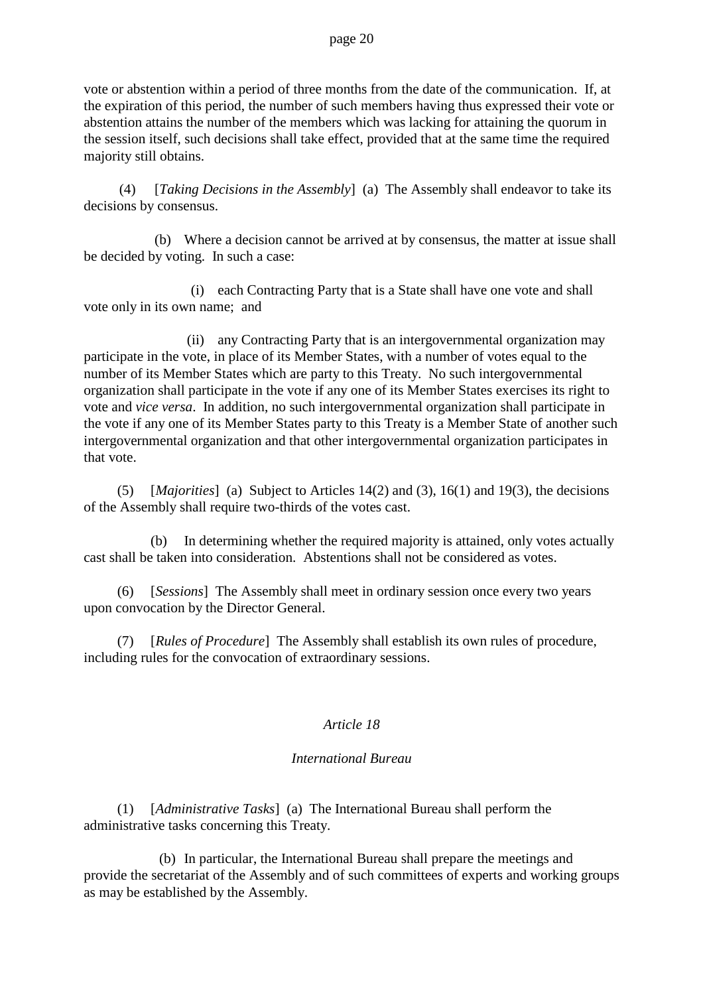vote or abstention within a period of three months from the date of the communication. If, at the expiration of this period, the number of such members having thus expressed their vote or abstention attains the number of the members which was lacking for attaining the quorum in the session itself, such decisions shall take effect, provided that at the same time the required majority still obtains.

(4) [*Taking Decisions in the Assembly*] (a) The Assembly shall endeavor to take its decisions by consensus.

(b) Where a decision cannot be arrived at by consensus, the matter at issue shall be decided by voting. In such a case:

(i) each Contracting Party that is a State shall have one vote and shall vote only in its own name; and

(ii) any Contracting Party that is an intergovernmental organization may participate in the vote, in place of its Member States, with a number of votes equal to the number of its Member States which are party to this Treaty. No such intergovernmental organization shall participate in the vote if any one of its Member States exercises its right to vote and *vice versa*. In addition, no such intergovernmental organization shall participate in the vote if any one of its Member States party to this Treaty is a Member State of another such intergovernmental organization and that other intergovernmental organization participates in that vote.

(5) [*Majorities*] (a) Subject to Articles 14(2) and (3), 16(1) and 19(3), the decisions of the Assembly shall require two-thirds of the votes cast.

(b) In determining whether the required majority is attained, only votes actually cast shall be taken into consideration. Abstentions shall not be considered as votes.

(6) [*Sessions*] The Assembly shall meet in ordinary session once every two years upon convocation by the Director General.

(7) [*Rules of Procedure*] The Assembly shall establish its own rules of procedure, including rules for the convocation of extraordinary sessions.

### *Article 18*

#### *International Bureau*

(1) [*Administrative Tasks*] (a) The International Bureau shall perform the administrative tasks concerning this Treaty.

(b) In particular, the International Bureau shall prepare the meetings and provide the secretariat of the Assembly and of such committees of experts and working groups as may be established by the Assembly.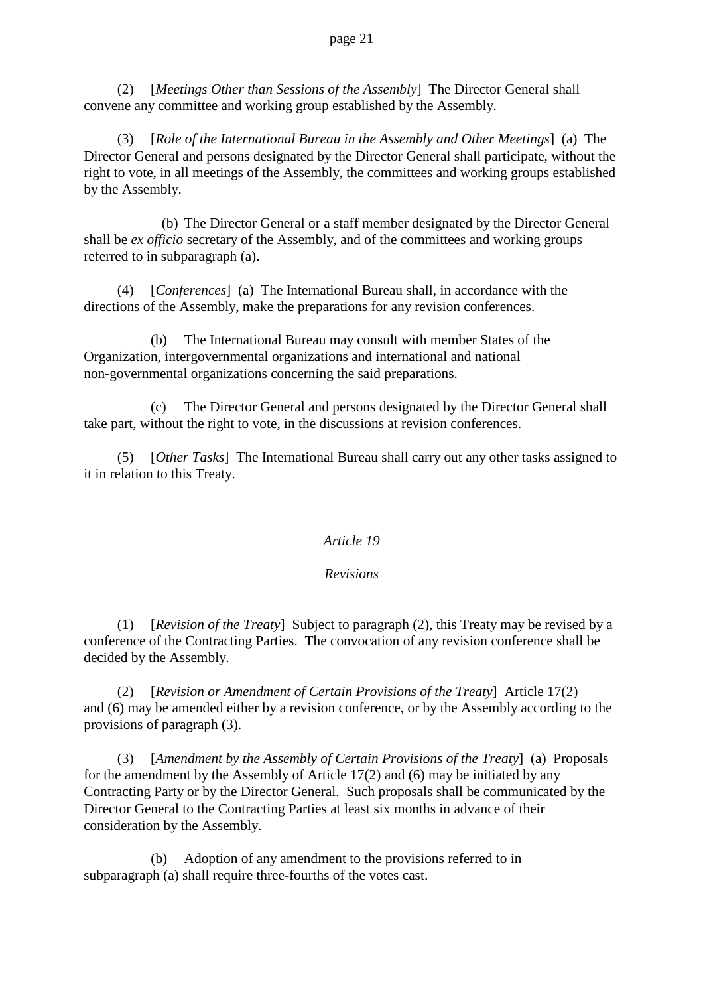(2) [*Meetings Other than Sessions of the Assembly*] The Director General shall convene any committee and working group established by the Assembly.

(3) [*Role of the International Bureau in the Assembly and Other Meetings*] (a) The Director General and persons designated by the Director General shall participate, without the right to vote, in all meetings of the Assembly, the committees and working groups established by the Assembly.

(b) The Director General or a staff member designated by the Director General shall be *ex officio* secretary of the Assembly, and of the committees and working groups referred to in subparagraph (a).

(4) [*Conferences*] (a) The International Bureau shall, in accordance with the directions of the Assembly, make the preparations for any revision conferences.

(b) The International Bureau may consult with member States of the Organization, intergovernmental organizations and international and national non-governmental organizations concerning the said preparations.

(c) The Director General and persons designated by the Director General shall take part, without the right to vote, in the discussions at revision conferences.

(5) [*Other Tasks*] The International Bureau shall carry out any other tasks assigned to it in relation to this Treaty.

# *Article 19*

# *Revisions*

(1) [*Revision of the Treaty*] Subject to paragraph (2), this Treaty may be revised by a conference of the Contracting Parties. The convocation of any revision conference shall be decided by the Assembly.

(2) [*Revision or Amendment of Certain Provisions of the Treaty*] Article 17(2) and (6) may be amended either by a revision conference, or by the Assembly according to the provisions of paragraph (3).

(3) [*Amendment by the Assembly of Certain Provisions of the Treaty*] (a) Proposals for the amendment by the Assembly of Article 17(2) and (6) may be initiated by any Contracting Party or by the Director General. Such proposals shall be communicated by the Director General to the Contracting Parties at least six months in advance of their consideration by the Assembly.

(b) Adoption of any amendment to the provisions referred to in subparagraph (a) shall require three-fourths of the votes cast.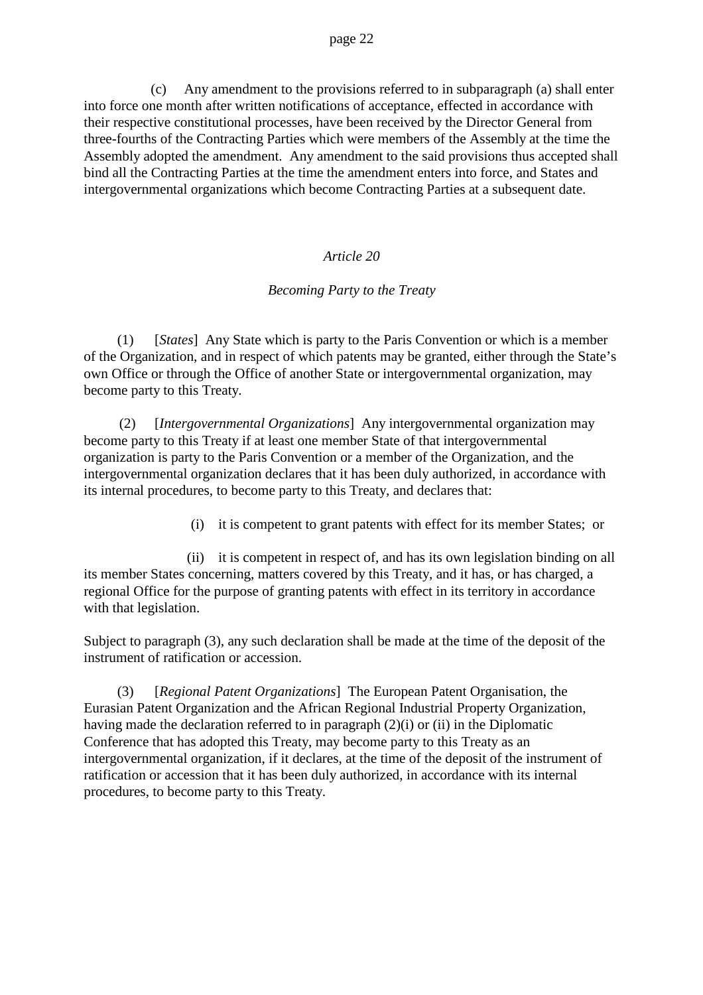(c) Any amendment to the provisions referred to in subparagraph (a) shall enter into force one month after written notifications of acceptance, effected in accordance with their respective constitutional processes, have been received by the Director General from three-fourths of the Contracting Parties which were members of the Assembly at the time the Assembly adopted the amendment. Any amendment to the said provisions thus accepted shall bind all the Contracting Parties at the time the amendment enters into force, and States and intergovernmental organizations which become Contracting Parties at a subsequent date.

#### *Article 20*

#### *Becoming Party to the Treaty*

(1) [*States*] Any State which is party to the Paris Convention or which is a member of the Organization, and in respect of which patents may be granted, either through the State's own Office or through the Office of another State or intergovernmental organization, may become party to this Treaty*.*

(2) [*Intergovernmental Organizations*] Any intergovernmental organization may become party to this Treaty if at least one member State of that intergovernmental organization is party to the Paris Convention or a member of the Organization, and the intergovernmental organization declares that it has been duly authorized, in accordance with its internal procedures, to become party to this Treaty, and declares that:

(i) it is competent to grant patents with effect for its member States; or

(ii) it is competent in respect of, and has its own legislation binding on all its member States concerning, matters covered by this Treaty, and it has, or has charged, a regional Office for the purpose of granting patents with effect in its territory in accordance with that legislation.

Subject to paragraph (3), any such declaration shall be made at the time of the deposit of the instrument of ratification or accession.

(3) [*Regional Patent Organizations*] The European Patent Organisation, the Eurasian Patent Organization and the African Regional Industrial Property Organization, having made the declaration referred to in paragraph (2)(i) or (ii) in the Diplomatic Conference that has adopted this Treaty, may become party to this Treaty as an intergovernmental organization, if it declares, at the time of the deposit of the instrument of ratification or accession that it has been duly authorized, in accordance with its internal procedures, to become party to this Treaty.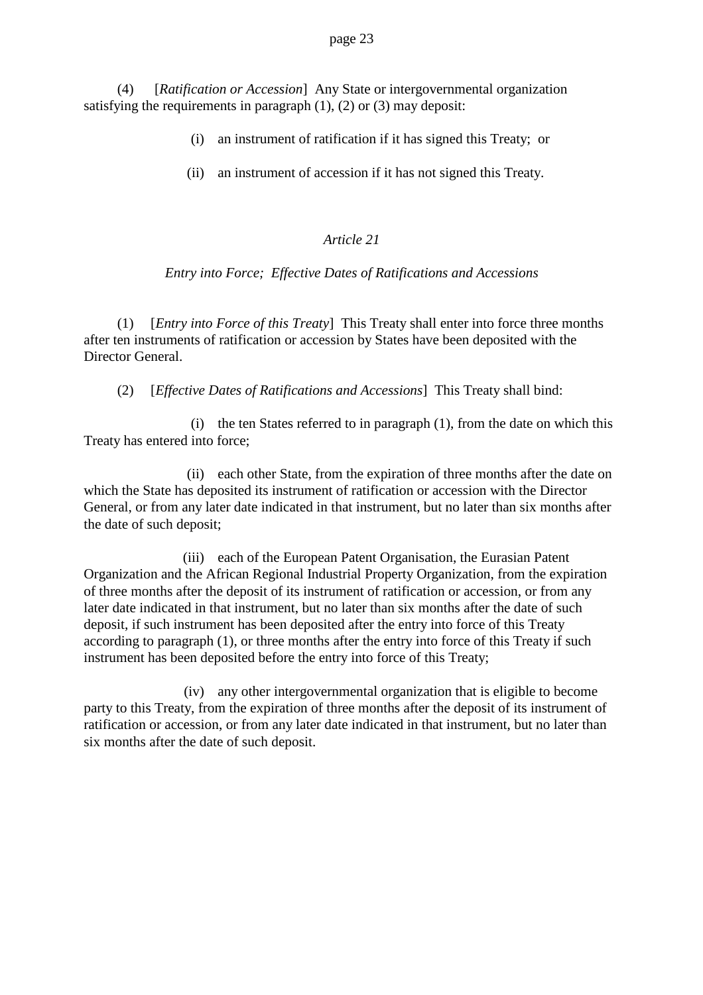(4) [*Ratification or Accession*] Any State or intergovernmental organization satisfying the requirements in paragraph  $(1)$ ,  $(2)$  or  $(3)$  may deposit:

- (i) an instrument of ratification if it has signed this Treaty; or
- (ii) an instrument of accession if it has not signed this Treaty.

### *Article 21*

#### *Entry into Force; Effective Dates of Ratifications and Accessions*

(1) [*Entry into Force of this Treaty*] This Treaty shall enter into force three months after ten instruments of ratification or accession by States have been deposited with the Director General.

(2) [*Effective Dates of Ratifications and Accessions*] This Treaty shall bind:

(i) the ten States referred to in paragraph (1), from the date on which this Treaty has entered into force;

(ii) each other State, from the expiration of three months after the date on which the State has deposited its instrument of ratification or accession with the Director General, or from any later date indicated in that instrument, but no later than six months after the date of such deposit;

(iii) each of the European Patent Organisation, the Eurasian Patent Organization and the African Regional Industrial Property Organization, from the expiration of three months after the deposit of its instrument of ratification or accession, or from any later date indicated in that instrument, but no later than six months after the date of such deposit, if such instrument has been deposited after the entry into force of this Treaty according to paragraph (1), or three months after the entry into force of this Treaty if such instrument has been deposited before the entry into force of this Treaty;

(iv) any other intergovernmental organization that is eligible to become party to this Treaty, from the expiration of three months after the deposit of its instrument of ratification or accession, or from any later date indicated in that instrument, but no later than six months after the date of such deposit.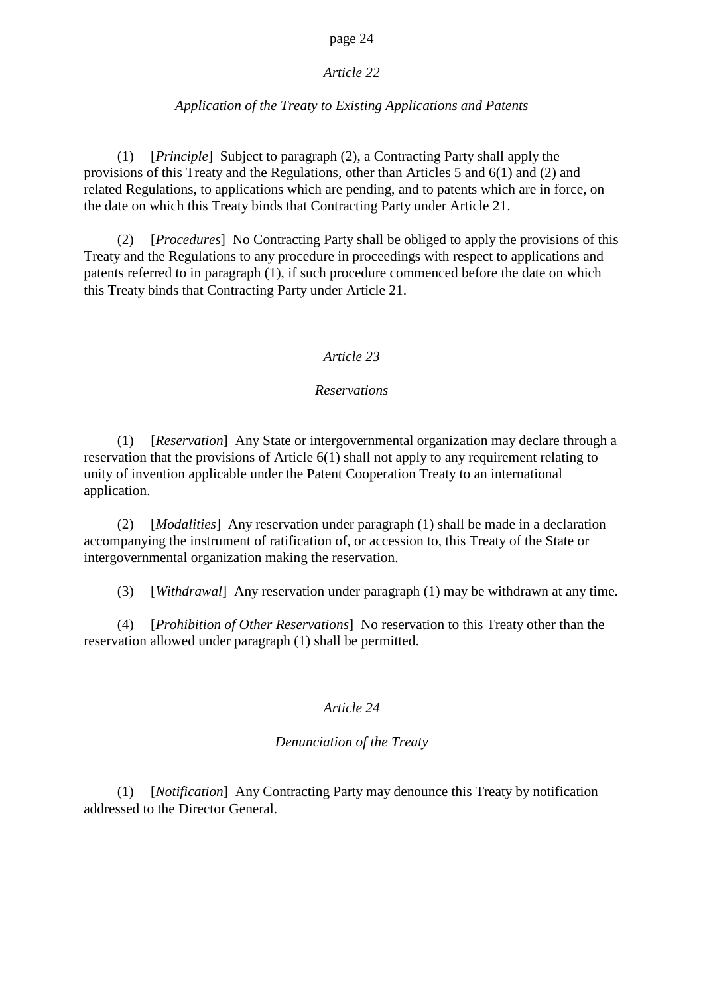### *Article 22*

### *Application of the Treaty to Existing Applications and Patents*

(1) [*Principle*] Subject to paragraph (2), a Contracting Party shall apply the provisions of this Treaty and the Regulations, other than Articles 5 and 6(1) and (2) and related Regulations, to applications which are pending, and to patents which are in force, on the date on which this Treaty binds that Contracting Party under Article 21.

(2) [*Procedures*] No Contracting Party shall be obliged to apply the provisions of this Treaty and the Regulations to any procedure in proceedings with respect to applications and patents referred to in paragraph (1), if such procedure commenced before the date on which this Treaty binds that Contracting Party under Article 21.

#### *Article 23*

#### *Reservations*

(1) [*Reservation*] Any State or intergovernmental organization may declare through a reservation that the provisions of Article 6(1) shall not apply to any requirement relating to unity of invention applicable under the Patent Cooperation Treaty to an international application.

(2) [*Modalities*] Any reservation under paragraph (1) shall be made in a declaration accompanying the instrument of ratification of, or accession to, this Treaty of the State or intergovernmental organization making the reservation.

(3) [*Withdrawal*] Any reservation under paragraph (1) may be withdrawn at any time.

(4) [*Prohibition of Other Reservations*] No reservation to this Treaty other than the reservation allowed under paragraph (1) shall be permitted.

### *Article 24*

#### *Denunciation of the Treaty*

(1) [*Notification*] Any Contracting Party may denounce this Treaty by notification addressed to the Director General.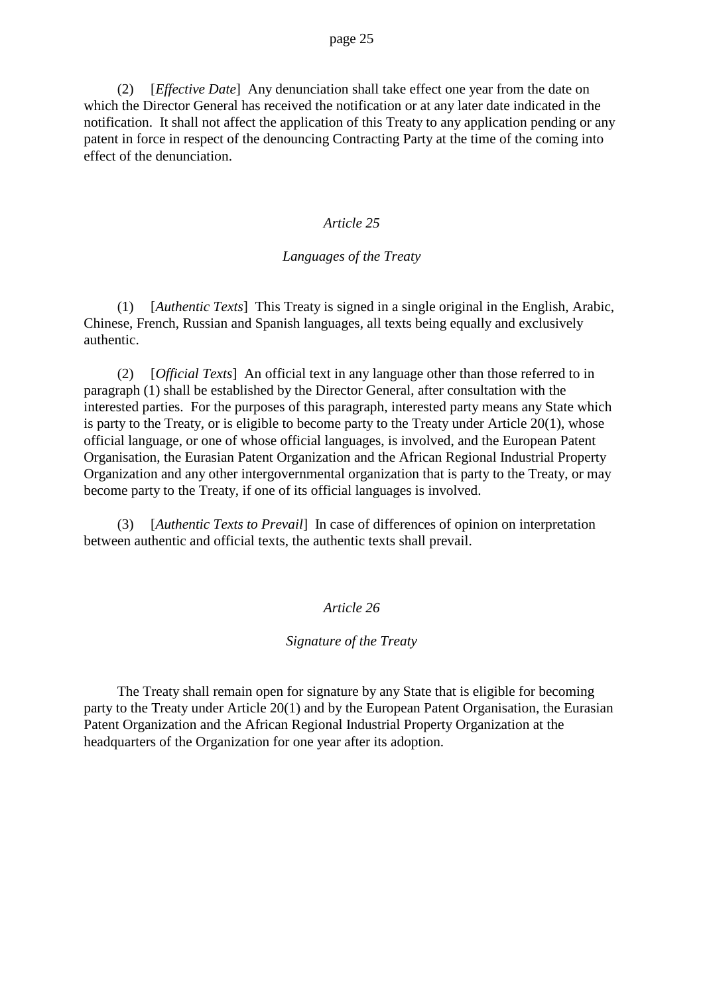(2) [*Effective Date*] Any denunciation shall take effect one year from the date on which the Director General has received the notification or at any later date indicated in the notification. It shall not affect the application of this Treaty to any application pending or any patent in force in respect of the denouncing Contracting Party at the time of the coming into effect of the denunciation.

#### *Article 25*

#### *Languages of the Treaty*

(1) [*Authentic Texts*] This Treaty is signed in a single original in the English, Arabic, Chinese, French, Russian and Spanish languages, all texts being equally and exclusively authentic.

(2) [*Official Texts*] An official text in any language other than those referred to in paragraph (1) shall be established by the Director General, after consultation with the interested parties. For the purposes of this paragraph, interested party means any State which is party to the Treaty, or is eligible to become party to the Treaty under Article 20(1), whose official language, or one of whose official languages, is involved, and the European Patent Organisation, the Eurasian Patent Organization and the African Regional Industrial Property Organization and any other intergovernmental organization that is party to the Treaty, or may become party to the Treaty, if one of its official languages is involved.

(3) [*Authentic Texts to Prevail*] In case of differences of opinion on interpretation between authentic and official texts, the authentic texts shall prevail.

#### *Article 26*

#### *Signature of the Treaty*

The Treaty shall remain open for signature by any State that is eligible for becoming party to the Treaty under Article 20(1) and by the European Patent Organisation, the Eurasian Patent Organization and the African Regional Industrial Property Organization at the headquarters of the Organization for one year after its adoption.